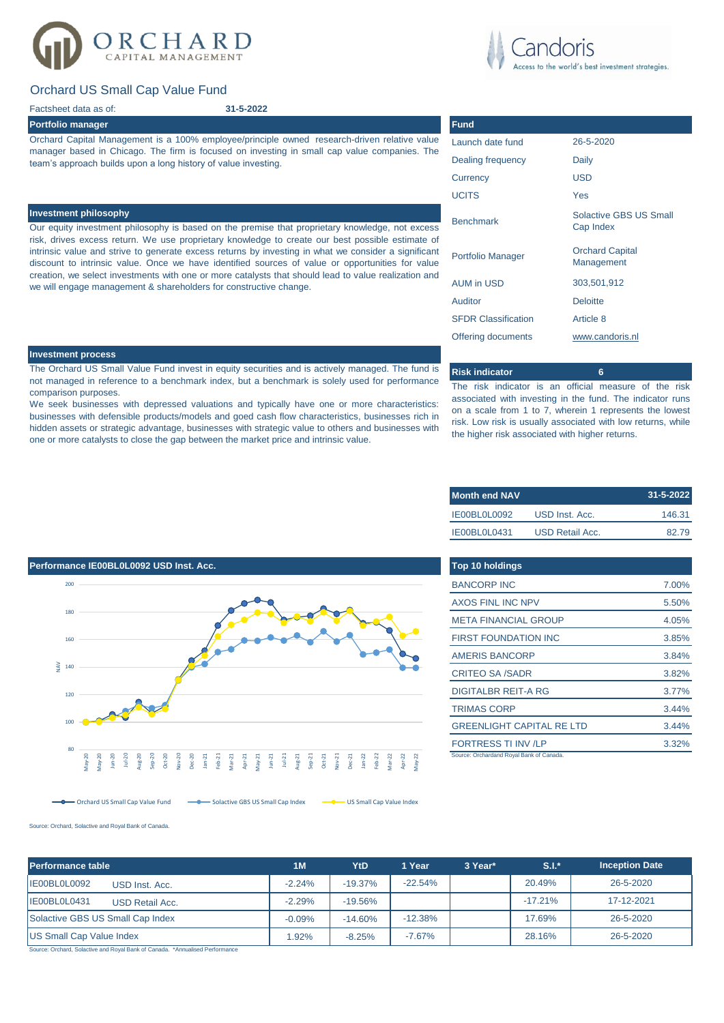# RCHARD

# Orchard US Small Cap Value Fund

## Factsheet data as of:

## **Portfolio manager**

Orchard Capital Management is a 100% employee/principle owned research-driven relative value manager based in Chicago. The firm is focused on investing in small cap value companies. The team's approach builds upon a long history of value investing.

**31-5-2022**

### **Investment philosophy**

Our equity investment philosophy is based on the premise that proprietary knowledge, not excess risk, drives excess return. We use proprietary knowledge to create our best possible estimate of intrinsic value and strive to generate excess returns by investing in what we consider a significant discount to intrinsic value. Once we have identified sources of value or opportunities for value creation, we select investments with one or more catalysts that should lead to value realization and we will engage management & shareholders for constructive change.

### **Investment process**

The Orchard US Small Value Fund invest in equity securities and is actively managed. The fund is not managed in reference to a benchmark index, but a benchmark is solely used for performance comparison purposes.

We seek businesses with depressed valuations and typically have one or more characteristics: businesses with defensible products/models and goed cash flow characteristics, businesses rich in hidden assets or strategic advantage, businesses with strategic value to others and businesses with one or more catalysts to close the gap between the market price and intrinsic value.

| runu                       |                                      |  |  |  |
|----------------------------|--------------------------------------|--|--|--|
| Launch date fund           | 26-5-2020                            |  |  |  |
| Dealing frequency          | Daily                                |  |  |  |
| Currency                   | <b>USD</b>                           |  |  |  |
| <b>UCITS</b>               | Yes                                  |  |  |  |
| <b>Benchmark</b>           | Solactive GBS US Small<br>Cap Index  |  |  |  |
| <b>Portfolio Manager</b>   | <b>Orchard Capital</b><br>Management |  |  |  |
| <b>AUM in USD</b>          | 303,501,912                          |  |  |  |
| Auditor                    | <b>Deloitte</b>                      |  |  |  |
| <b>SFDR Classification</b> | Article 8                            |  |  |  |
| Offering documents         | www.candoris.nl                      |  |  |  |
|                            |                                      |  |  |  |

## **Risk indicator 6**

The risk indicator is an official measure of the risk associated with investing in the fund. The indicator runs on a scale from 1 to 7, wherein 1 represents the lowest risk. Low risk is usually associated with low returns, while the higher risk associated with higher returns.

| <b>Month end NAV</b> |                 | $31 - 5 - 2022$ |
|----------------------|-----------------|-----------------|
| IE00BL0L0092         | USD Inst. Acc.  | 146.31          |
| IE00BL0L0431         | USD Retail Acc. | 82.79           |

| <b>Top 10 holdings</b>                  |       |
|-----------------------------------------|-------|
| <b>BANCORP INC</b>                      | 7.00% |
| <b>AXOS FINL INC NPV</b>                | 5.50% |
| <b>META FINANCIAL GROUP</b>             | 4.05% |
| <b>FIRST FOUNDATION INC</b>             | 3.85% |
| <b>AMERIS BANCORP</b>                   | 3.84% |
| <b>CRITEO SA /SADR</b>                  | 3.82% |
| <b>DIGITALBR REIT-A RG</b>              | 3.77% |
| <b>TRIMAS CORP</b>                      | 3.44% |
| <b>GREENLIGHT CAPITAL RE LTD</b>        | 3.44% |
| <b>FORTRESS TI INV /LP</b>              | 3.32% |
| Source: Orchardand Royal Bank of Canada |       |



Orchard US Small Cap Value Fund Solactive GBS US Small Cap Index Solactive GBS US Small Cap Value Index

Source: Orchard, Solactive and Royal Bank of Canada.

| Performance table                      | 1 <sub>M</sub> | YtD       | 1 Year    | 3 Year* | $S.I.*$   | <b>Inception Date</b> |
|----------------------------------------|----------------|-----------|-----------|---------|-----------|-----------------------|
| IE00BL0L0092<br>USD Inst. Acc.         | $-2.24%$       | $-19.37%$ | $-22.54%$ |         | 20.49%    | 26-5-2020             |
| IE00BL0L0431<br><b>USD Retail Acc.</b> | $-2.29%$       | $-19.56%$ |           |         | $-17.21%$ | 17-12-2021            |
| Solactive GBS US Small Cap Index       | $-0.09%$       | $-14.60%$ | $-12.38%$ |         | 17.69%    | 26-5-2020             |
| <b>US Small Cap Value Index</b>        | 1.92%          | $-8.25%$  | $-7.67%$  |         | 28.16%    | 26-5-2020             |

Source: Orchard, Solactive and Royal Bank of Canada. \*Annualised Performance